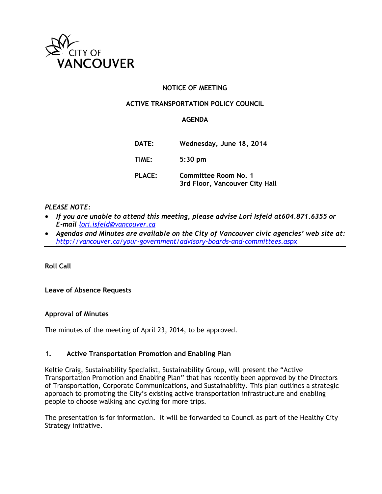

# **NOTICE OF MEETING**

## **ACTIVE TRANSPORTATION POLICY COUNCIL**

### **AGENDA**

| DATE:         | Wednesday, June 18, 2014                               |
|---------------|--------------------------------------------------------|
| TIME:         | $5:30$ pm                                              |
| <b>PLACE:</b> | Committee Room No. 1<br>3rd Floor, Vancouver City Hall |

#### *PLEASE NOTE:*

- *If you are unable to attend this meeting, please advise Lori Isfeld at 604.871.6355 or E-mail [lori.isfeld@vancouver.ca](mailto:lori.isfeld@vancouver.ca)*
- *Agendas and Minutes are available on the City of Vancouver civic agencies' web site at: <http://vancouver.ca/your-government/advisory-boards-and-committees.aspx>*

**Roll Call** 

**Leave of Absence Requests**

## **Approval of Minutes**

The minutes of the meeting of April 23, 2014, to be approved.

#### **1. Active Transportation Promotion and Enabling Plan**

Keltie Craig, Sustainability Specialist, Sustainability Group, will present the "Active Transportation Promotion and Enabling Plan" that has recently been approved by the Directors of Transportation, Corporate Communications, and Sustainability. This plan outlines a strategic approach to promoting the City's existing active transportation infrastructure and enabling people to choose walking and cycling for more trips.

The presentation is for information. It will be forwarded to Council as part of the Healthy City Strategy initiative.